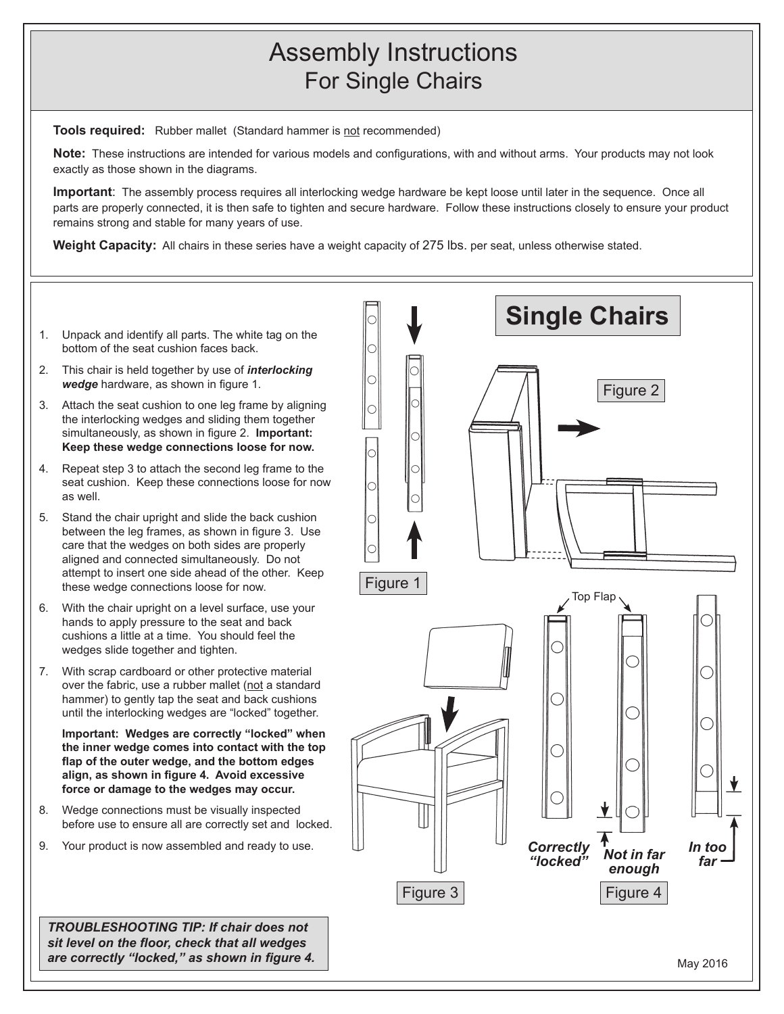## Assembly Instructions For Single Chairs

**Tools required:** Rubber mallet (Standard hammer is not recommended)

**Note:** These instructions are intended for various models and configurations, with and without arms. Your products may not look exactly as those shown in the diagrams.

**Important**: The assembly process requires all interlocking wedge hardware be kept loose until later in the sequence. Once all parts are properly connected, it is then safe to tighten and secure hardware. Follow these instructions closely to ensure your product remains strong and stable for many years of use.

**Weight Capacity:** All chairs in these series have a weight capacity of 275 lbs. per seat, unless otherwise stated.

- 1. Unpack and identify all parts. The white tag on the bottom of the seat cushion faces back.
- 2. This chair is held together by use of *interlocking wedge* hardware, as shown in figure 1.
- 3. Attach the seat cushion to one leg frame by aligning the interlocking wedges and sliding them together simultaneously, as shown in figure 2. **Important: Keep these wedge connections loose for now.**
- 4. Repeat step 3 to attach the second leg frame to the seat cushion. Keep these connections loose for now as well.
- 5. Stand the chair upright and slide the back cushion between the leg frames, as shown in figure 3. Use care that the wedges on both sides are properly aligned and connected simultaneously. Do not attempt to insert one side ahead of the other. Keep these wedge connections loose for now.
- 6. With the chair upright on a level surface, use your hands to apply pressure to the seat and back cushions a little at a time. You should feel the wedges slide together and tighten.
- 7. With scrap cardboard or other protective material over the fabric, use a rubber mallet (not a standard hammer) to gently tap the seat and back cushions until the interlocking wedges are "locked" together.

**Important: Wedges are correctly "locked" when the inner wedge comes into contact with the top flap of the outer wedge, and the bottom edges align, as shown in figure 4. Avoid excessive force or damage to the wedges may occur.**

- 8. Wedge connections must be visually inspected before use to ensure all are correctly set and locked.
- 9. Your product is now assembled and ready to use.

*TROUBLESHOOTING TIP: If chair does not sit level on the floor, check that all wedges are correctly "locked," as shown in figure 4.*